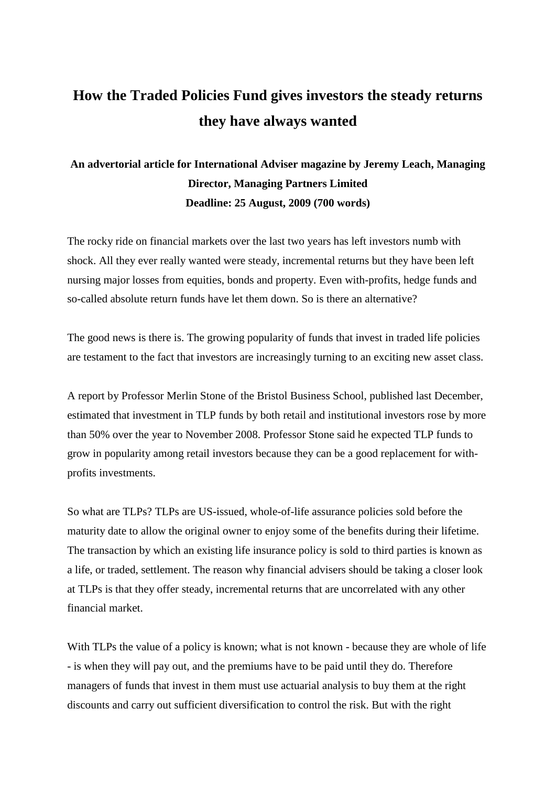## **How the Traded Policies Fund gives investors the steady returns they have always wanted**

## **An advertorial article for International Adviser magazine by Jeremy Leach, Managing Director, Managing Partners Limited Deadline: 25 August, 2009 (700 words)**

The rocky ride on financial markets over the last two years has left investors numb with shock. All they ever really wanted were steady, incremental returns but they have been left nursing major losses from equities, bonds and property. Even with-profits, hedge funds and so-called absolute return funds have let them down. So is there an alternative?

The good news is there is. The growing popularity of funds that invest in traded life policies are testament to the fact that investors are increasingly turning to an exciting new asset class.

A report by Professor Merlin Stone of the Bristol Business School, published last December, estimated that investment in TLP funds by both retail and institutional investors rose by more than 50% over the year to November 2008. Professor Stone said he expected TLP funds to grow in popularity among retail investors because they can be a good replacement for withprofits investments.

So what are TLPs? TLPs are US-issued, whole-of-life assurance policies sold before the maturity date to allow the original owner to enjoy some of the benefits during their lifetime. The transaction by which an existing life insurance policy is sold to third parties is known as a life, or traded, settlement. The reason why financial advisers should be taking a closer look at TLPs is that they offer steady, incremental returns that are uncorrelated with any other financial market.

With TLPs the value of a policy is known; what is not known - because they are whole of life - is when they will pay out, and the premiums have to be paid until they do. Therefore managers of funds that invest in them must use actuarial analysis to buy them at the right discounts and carry out sufficient diversification to control the risk. But with the right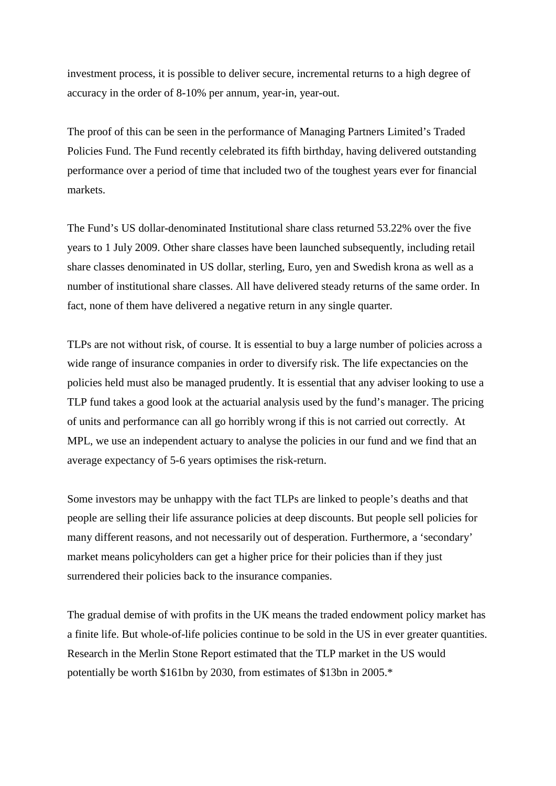investment process, it is possible to deliver secure, incremental returns to a high degree of accuracy in the order of 8-10% per annum, year-in, year-out.

The proof of this can be seen in the performance of Managing Partners Limited's Traded Policies Fund. The Fund recently celebrated its fifth birthday, having delivered outstanding performance over a period of time that included two of the toughest years ever for financial markets.

The Fund's US dollar-denominated Institutional share class returned 53.22% over the five years to 1 July 2009. Other share classes have been launched subsequently, including retail share classes denominated in US dollar, sterling, Euro, yen and Swedish krona as well as a number of institutional share classes. All have delivered steady returns of the same order. In fact, none of them have delivered a negative return in any single quarter.

TLPs are not without risk, of course. It is essential to buy a large number of policies across a wide range of insurance companies in order to diversify risk. The life expectancies on the policies held must also be managed prudently. It is essential that any adviser looking to use a TLP fund takes a good look at the actuarial analysis used by the fund's manager. The pricing of units and performance can all go horribly wrong if this is not carried out correctly. At MPL, we use an independent actuary to analyse the policies in our fund and we find that an average expectancy of 5-6 years optimises the risk-return.

Some investors may be unhappy with the fact TLPs are linked to people's deaths and that people are selling their life assurance policies at deep discounts. But people sell policies for many different reasons, and not necessarily out of desperation. Furthermore, a 'secondary' market means policyholders can get a higher price for their policies than if they just surrendered their policies back to the insurance companies.

The gradual demise of with profits in the UK means the traded endowment policy market has a finite life. But whole-of-life policies continue to be sold in the US in ever greater quantities. Research in the Merlin Stone Report estimated that the TLP market in the US would potentially be worth \$161bn by 2030, from estimates of \$13bn in 2005.\*